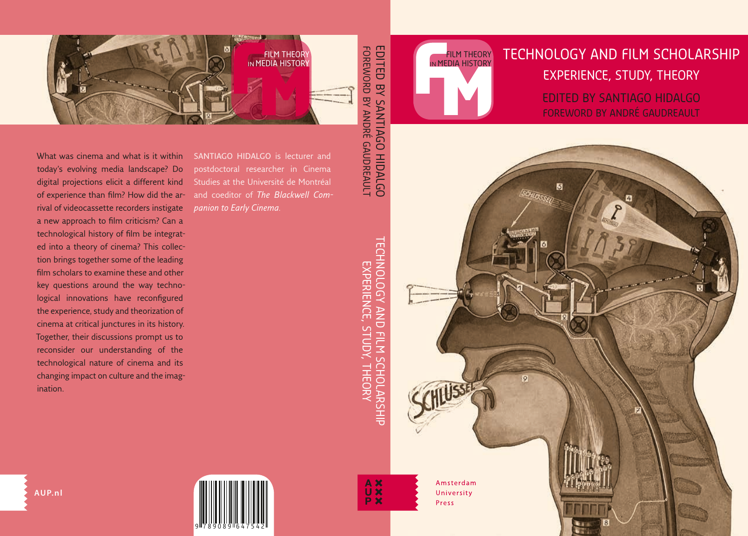# TECHNOLOGY AND FILM SCHOLARSHIP EXPERIENCE, STUDY, THEORY

FILM THEORY IN MEDIA HISTORY

> EDITED BY SANTIAGO HIDALGO FOREWORD BY ANDRÉ GAUDREAULT

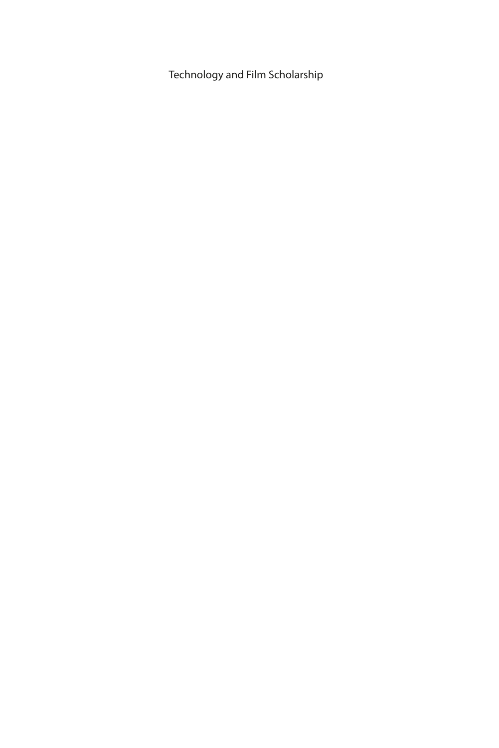Technology and Film Scholarship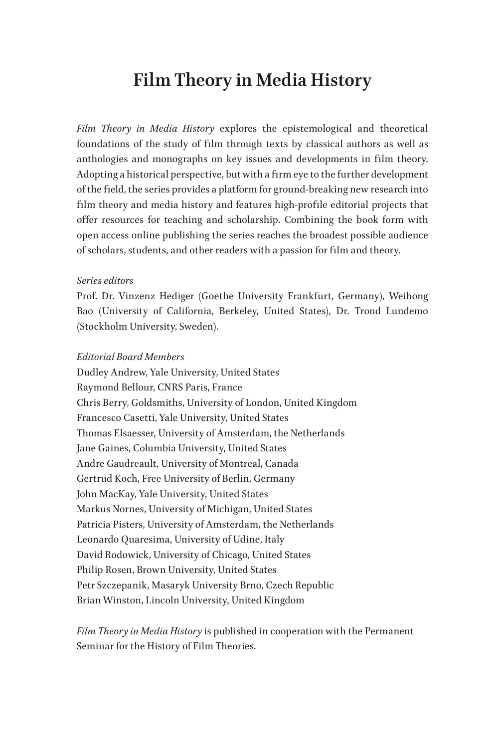## **Film Theory in Media History**

*Film Theory in Media History* explores the epistemological and theoretical foundations of the study of film through texts by classical authors as well as anthologies and monographs on key issues and developments in film theory. Adopting a historical perspective, but with a firm eye to the further development of the field, the series provides a platform for ground-breaking new research into film theory and media history and features high-profile editorial projects that offer resources for teaching and scholarship. Combining the book form with open access online publishing the series reaches the broadest possible audience of scholars, students, and other readers with a passion for film and theory.

#### *Series editors*

Prof. Dr. Vinzenz Hediger (Goethe University Frankfurt, Germany), Weihong Bao (University of California, Berkeley, United States), Dr. Trond Lundemo (Stockholm University, Sweden).

#### *Editorial Board Members*

Dudley Andrew, Yale University, United States Raymond Bellour, CNRS Paris, France Chris Berry, Goldsmiths, University of London, United Kingdom Francesco Casetti, Yale University, United States Thomas Elsaesser, University of Amsterdam, the Netherlands Jane Gaines, Columbia University, United States Andre Gaudreault, University of Montreal, Canada Gertrud Koch, Free University of Berlin, Germany John MacKay, Yale University, United States Markus Nornes, University of Michigan, United States Patricia Pisters, University of Amsterdam, the Netherlands Leonardo Quaresima, University of Udine, Italy David Rodowick, University of Chicago, United States Philip Rosen, Brown University, United States Petr Szczepanik, Masaryk University Brno, Czech Republic Brian Winston, Lincoln University, United Kingdom

*Film Theory in Media History* is published in cooperation with the Permanent Seminar for the History of Film Theories.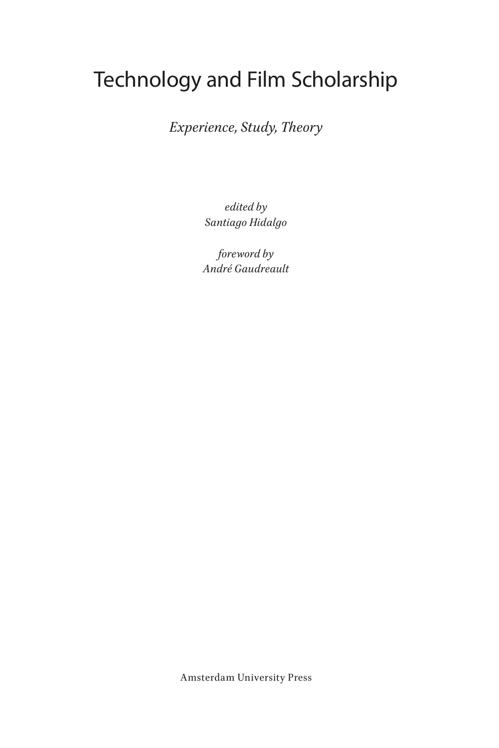# Technology and Film Scholarship

*Experience, Study, Theory*

*edited by Santiago Hidalgo*

*foreword by André Gaudreault*

Amsterdam University Press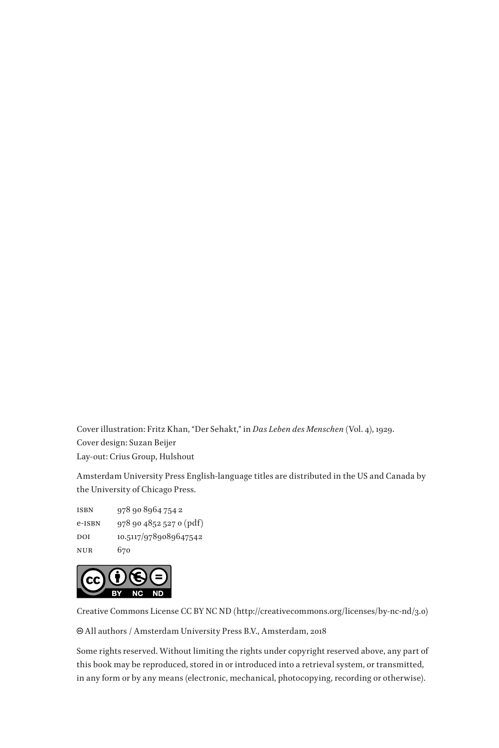Cover illustration: Fritz Khan, "Der Sehakt," in *Das Leben des Menschen* (Vol. 4), 1929. Cover design: Suzan Beijer Lay-out: Crius Group, Hulshout

Amsterdam University Press English-language titles are distributed in the US and Canada by the University of Chicago Press.

isbn 978 90 8964 754 2 e-isbn 978 90 4852 527 0 (pdf) DOI 10.5117/9789089647542 nur 670



Creative Commons License CC BY NC ND (http://creativecommons.org/licenses/by-nc-nd/3.0)

All authors / Amsterdam University Press B.V., Amsterdam, 2018

Some rights reserved. Without limiting the rights under copyright reserved above, any part of this book may be reproduced, stored in or introduced into a retrieval system, or transmitted, in any form or by any means (electronic, mechanical, photocopying, recording or otherwise).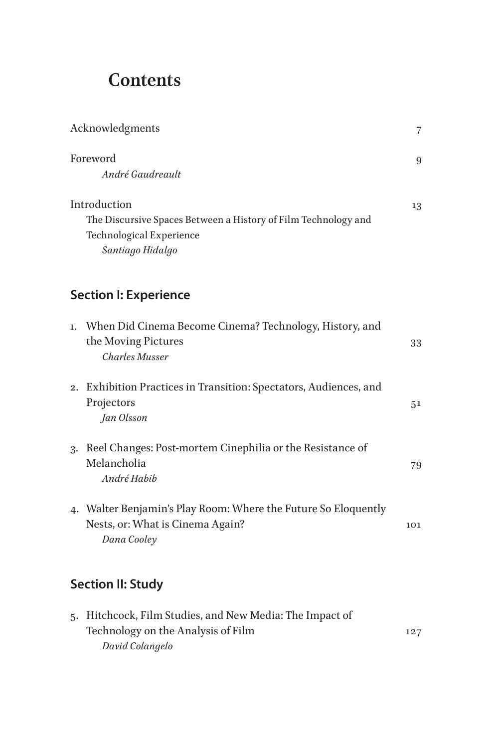# **Contents**

|    | Acknowledgments                                                                                                                |                |
|----|--------------------------------------------------------------------------------------------------------------------------------|----------------|
|    | Foreword<br>André Gaudreault                                                                                                   | 9              |
|    | Introduction<br>The Discursive Spaces Between a History of Film Technology and<br>Technological Experience<br>Santiago Hidalgo | 13             |
|    | <b>Section I: Experience</b>                                                                                                   |                |
|    | 1. When Did Cinema Become Cinema? Technology, History, and<br>the Moving Pictures<br>Charles Musser                            | 33             |
|    | 2. Exhibition Practices in Transition: Spectators, Audiences, and<br>Projectors<br>Jan Olsson                                  | 5 <sup>1</sup> |
| 3. | Reel Changes: Post-mortem Cinephilia or the Resistance of<br>Melancholia<br>André Habib                                        | 79             |
|    | 4. Walter Benjamin's Play Room: Where the Future So Eloquently<br>Nests, or: What is Cinema Again?<br>Dana Cooley              | 101            |
|    | <b>Section II: Study</b>                                                                                                       |                |
|    | 5. Hitchcock, Film Studies, and New Media: The Impact of                                                                       |                |

| 5. THICHCOCK, FIIIII SUQUES, AND NEW MEDIA: THE HIIPACL OF |     |
|------------------------------------------------------------|-----|
| Technology on the Analysis of Film                         | 127 |
| David Colangelo                                            |     |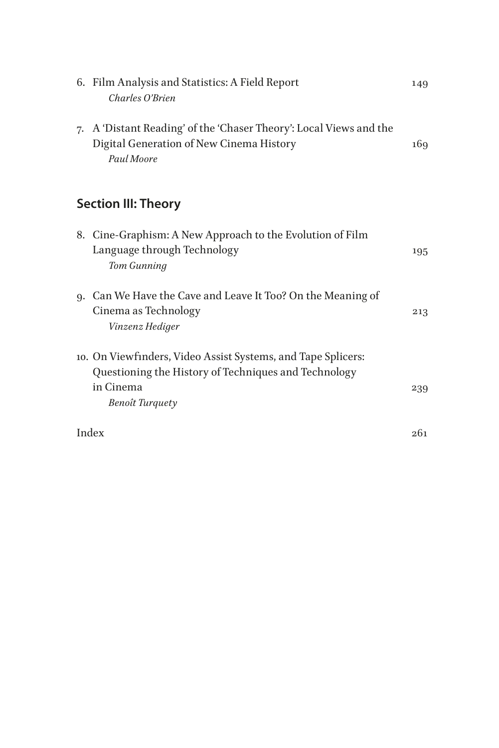|    | 6. Film Analysis and Statistics: A Field Report<br>Charles O'Brien                                                                                          | 149 |  |
|----|-------------------------------------------------------------------------------------------------------------------------------------------------------------|-----|--|
| 7. | A 'Distant Reading' of the 'Chaser Theory': Local Views and the<br>Digital Generation of New Cinema History<br>Paul Moore                                   | 169 |  |
|    | <b>Section III: Theory</b>                                                                                                                                  |     |  |
|    | 8. Cine-Graphism: A New Approach to the Evolution of Film<br>Language through Technology<br>Tom Gunning                                                     | 195 |  |
| 9. | Can We Have the Cave and Leave It Too? On the Meaning of<br>Cinema as Technology<br>Vinzenz Hediger                                                         | 213 |  |
|    | 10. On Viewfinders, Video Assist Systems, and Tape Splicers:<br>Questioning the History of Techniques and Technology<br>in Cinema<br><b>Benoît Turquety</b> | 239 |  |
|    | Index                                                                                                                                                       |     |  |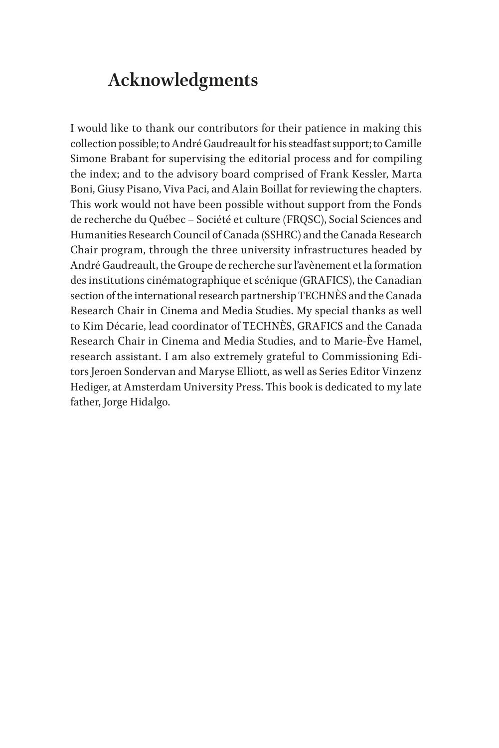## <span id="page-7-0"></span>**Acknowledgments**

I would like to thank our contributors for their patience in making this collection possible; to André Gaudreault for his steadfast support; to Camille Simone Brabant for supervising the editorial process and for compiling the index; and to the advisory board comprised of Frank Kessler, Marta Boni, Giusy Pisano, Viva Paci, and Alain Boillat for reviewing the chapters. This work would not have been possible without support from the Fonds de recherche du Québec ‒ Société et culture (FRQSC), Social Sciences and Humanities Research Council of Canada (SSHRC) and the Canada Research Chair program, through the three university infrastructures headed by André Gaudreault, the Groupe de recherche sur l'avènement et la formation des institutions cinématographique et scénique (GRAFICS), the Canadian section of the international research partnership TECHNÈS and the Canada Research Chair in Cinema and Media Studies. My special thanks as well to Kim Décarie, lead coordinator of TECHNÈS, GRAFICS and the Canada Research Chair in Cinema and Media Studies, and to Marie-Ève Hamel, research assistant. I am also extremely grateful to Commissioning Editors Jeroen Sondervan and Maryse Elliott, as well as Series Editor Vinzenz Hediger, at Amsterdam University Press. This book is dedicated to my late father, Jorge Hidalgo.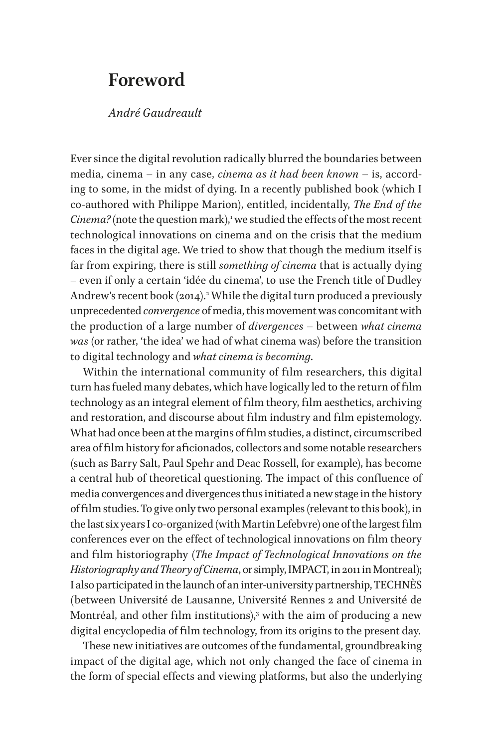## <span id="page-8-0"></span>**Foreword**

#### *André Gaudreault*

Ever since the digital revolution radically blurred the boundaries between media, cinema – in any case, *cinema as it had been known* – is, according to some, in the midst of dying. In a recently published book (which I co-authored with Philippe Marion), entitled, incidentally, *The End of the Cinema?* (note the question mark),<sup>1</sup> we studied the effects of the most recent technological innovations on cinema and on the crisis that the medium faces in the digital age. We tried to show that though the medium itself is far from expiring, there is still *something of cinema* that is actually dying – even if only a certain 'idée du cinema', to use the French title of Dudley Andrew's recent book ([2](#page-10-1)014).<sup>2</sup> While the digital turn produced a previously unprecedented *convergence* of media, this movement was concomitant with the production of a large number of *divergences* – between *what cinema was* (or rather, 'the idea' we had of what cinema was) before the transition to digital technology and *what cinema is becoming*.

Within the international community of film researchers, this digital turn has fueled many debates, which have logically led to the return of film technology as an integral element of film theory, film aesthetics, archiving and restoration, and discourse about film industry and film epistemology. What had once been at the margins of film studies, a distinct, circumscribed area of film history for aficionados, collectors and some notable researchers (such as Barry Salt, Paul Spehr and Deac Rossell, for example), has become a central hub of theoretical questioning. The impact of this confluence of media convergences and divergences thus initiated a new stage in the history of film studies. To give only two personal examples (relevant to this book), in the last six years I co-organized (with Martin Lefebvre) one of the largest film conferences ever on the effect of technological innovations on film theory and film historiography (*The Impact of Technological Innovations on the Historiography and Theory of Cinema*, or simply, IMPACT, in 2011 in Montreal); I also participated in the launch of an inter-university partnership, TECHNÈS (between Université de Lausanne, Université Rennes 2 and Université de Montréal, and other film institutions), $^3$  with the aim of producing a new digital encyclopedia of film technology, from its origins to the present day.

These new initiatives are outcomes of the fundamental, groundbreaking impact of the digital age, which not only changed the face of cinema in the form of special effects and viewing platforms, but also the underlying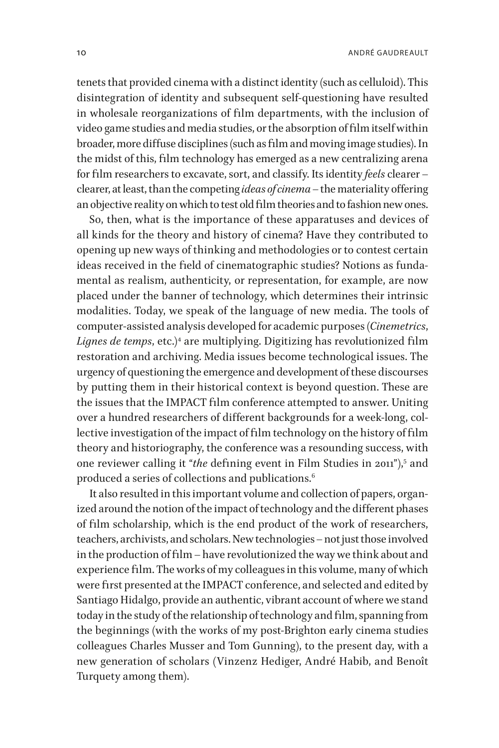tenets that provided cinema with a distinct identity (such as celluloid). This disintegration of identity and subsequent self-questioning have resulted in wholesale reorganizations of film departments, with the inclusion of video game studies and media studies, or the absorption of film itself within broader, more diffuse disciplines (such as film and moving image studies). In the midst of this, film technology has emerged as a new centralizing arena for film researchers to excavate, sort, and classify. Its identity *feels* clearer – clearer, at least, than the competing *ideas of cinema* – the materiality offering an objective reality on which to test old film theories and to fashion new ones.

So, then, what is the importance of these apparatuses and devices of all kinds for the theory and history of cinema? Have they contributed to opening up new ways of thinking and methodologies or to contest certain ideas received in the field of cinematographic studies? Notions as fundamental as realism, authenticity, or representation, for example, are now placed under the banner of technology, which determines their intrinsic modalities. Today, we speak of the language of new media. The tools of computer-assisted analysis developed for academic purposes (*Cinemetrics*, *Lignes de temps*, etc.)[4](#page-10-3) are multiplying. Digitizing has revolutionized film restoration and archiving. Media issues become technological issues. The urgency of questioning the emergence and development of these discourses by putting them in their historical context is beyond question. These are the issues that the IMPACT film conference attempted to answer. Uniting over a hundred researchers of different backgrounds for a week-long, collective investigation of the impact of film technology on the history of film theory and historiography, the conference was a resounding success, with one reviewer calling it "*the* defining event in Film Studies in 2011"), [5](#page-10-4) and produced a series of collections and publications.<sup>6</sup>

It also resulted in this important volume and collection of papers, organized around the notion of the impact of technology and the different phases of film scholarship, which is the end product of the work of researchers, teachers, archivists, and scholars. New technologies – not just those involved in the production of film – have revolutionized the way we think about and experience film. The works of my colleagues in this volume, many of which were first presented at the IMPACT conference, and selected and edited by Santiago Hidalgo, provide an authentic, vibrant account of where we stand today in the study of the relationship of technology and film, spanning from the beginnings (with the works of my post-Brighton early cinema studies colleagues Charles Musser and Tom Gunning), to the present day, with a new generation of scholars (Vinzenz Hediger, André Habib, and Benoît Turquety among them).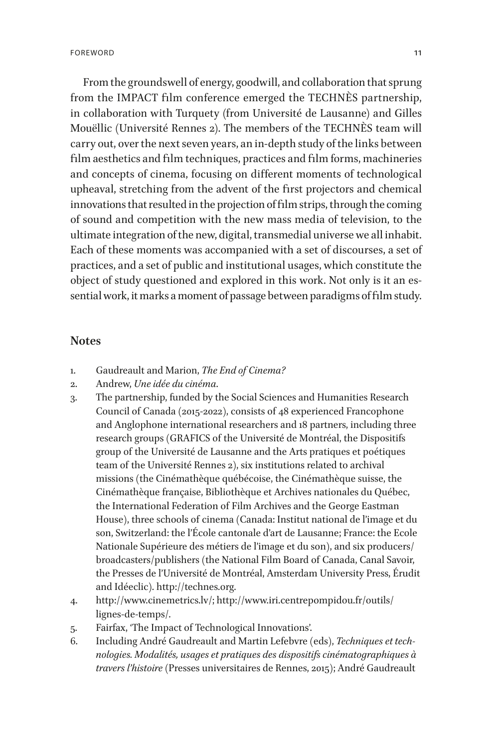From the groundswell of energy, goodwill, and collaboration that sprung from the IMPACT film conference emerged the TECHNÈS partnership, in collaboration with Turquety (from Université de Lausanne) and Gilles Mouëllic (Université Rennes 2). The members of the TECHNÈS team will carry out, over the next seven years, an in-depth study of the links between film aesthetics and film techniques, practices and film forms, machineries and concepts of cinema, focusing on different moments of technological upheaval, stretching from the advent of the first projectors and chemical innovations that resulted in the projection of film strips, through the coming of sound and competition with the new mass media of television, to the ultimate integration of the new, digital, transmedial universe we all inhabit. Each of these moments was accompanied with a set of discourses, a set of practices, and a set of public and institutional usages, which constitute the object of study questioned and explored in this work. Not only is it an essential work, it marks a moment of passage between paradigms of film study.

#### **Notes**

- <span id="page-10-0"></span>1. Gaudreault and Marion, *The End of Cinema?*
- <span id="page-10-1"></span>2. Andrew, *Une idée du cinéma*.
- <span id="page-10-2"></span>3. The partnership, funded by the Social Sciences and Humanities Research Council of Canada (2015-2022), consists of 48 experienced Francophone and Anglophone international researchers and 18 partners, including three research groups (GRAFICS of the Université de Montréal, the Dispositifs group of the Université de Lausanne and the Arts pratiques et poétiques team of the Université Rennes 2), six institutions related to archival missions (the Cinémathèque québécoise, the Cinémathèque suisse, the Cinémathèque française, Bibliothèque et Archives nationales du Québec, the International Federation of Film Archives and the George Eastman House), three schools of cinema (Canada: Institut national de l'image et du son, Switzerland: the l'École cantonale d'art de Lausanne; France: the Ecole Nationale Supérieure des métiers de l'image et du son), and six producers/ broadcasters/publishers (the National Film Board of Canada, Canal Savoir, the Presses de l'Université de Montréal, Amsterdam University Press, Érudit and Idéeclic). http://technes.org.
- <span id="page-10-3"></span>4. http://www.cinemetrics.lv/; http://www.iri.centrepompidou.fr/outils/ lignes-de-temps/.
- <span id="page-10-4"></span>5. Fairfax, 'The Impact of Technological Innovations'.
- <span id="page-10-5"></span>6. Including André Gaudreault and Martin Lefebvre (eds), *Techniques et technologies. Modalités, usages et pratiques des dispositifs cinématographiques à travers l'histoire* (Presses universitaires de Rennes, 2015); André Gaudreault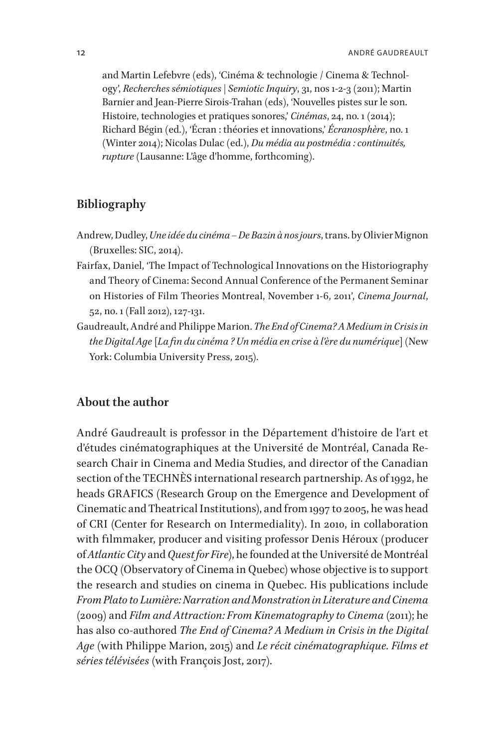and Martin Lefebvre (eds), 'Cinéma & technologie / Cinema & Technology', *Recherches sémiotiques | Semiotic Inquiry*, 31, nos 1-2-3 (2011); Martin Barnier and Jean-Pierre Sirois-Trahan (eds), 'Nouvelles pistes sur le son. Histoire, technologies et pratiques sonores,' *Cinémas*, 24, no. 1 (2014); Richard Bégin (ed.), 'Écran : théories et innovations,' *Écranosphère*, no. 1 (Winter 2014); Nicolas Dulac (ed.), *Du média au postmédia : continuités, rupture* (Lausanne: L'âge d'homme, forthcoming).

#### **Bibliography**

- Andrew, Dudley, *Une idée du cinéma De Bazin à nos jours*, trans. by Olivier Mignon (Bruxelles: SIC, 2014).
- Fairfax, Daniel, 'The Impact of Technological Innovations on the Historiography and Theory of Cinema: Second Annual Conference of the Permanent Seminar on Histories of Film Theories Montreal, November 1-6, 2011', *Cinema Journal*, 52, no. 1 (Fall 2012), 127-131.
- Gaudreault, André and Philippe Marion. *The End of Cinema? A Medium in Crisis in the Digital Age* [*La fin du cinéma ? Un média en crise à l'ère du numérique*] (New York: Columbia University Press, 2015).

### **About the author**

André Gaudreault is professor in the Département d'histoire de l'art et d'études cinématographiques at the Université de Montréal, Canada Research Chair in Cinema and Media Studies, and director of the Canadian section of the TECHNÈS international research partnership. As of 1992, he heads GRAFICS (Research Group on the Emergence and Development of Cinematic and Theatrical Institutions), and from 1997 to 2005, he was head of CRI (Center for Research on Intermediality). In 2010, in collaboration with filmmaker, producer and visiting professor Denis Héroux (producer of *Atlantic City* and *Quest for Fire*), he founded at the Université de Montréal the OCQ (Observatory of Cinema in Quebec) whose objective is to support the research and studies on cinema in Quebec. His publications include *From Plato to Lumière: Narration and Monstration in Literature and Cinema* (2009) and *Film and Attraction: From Kinematography to Cinema* (2011); he has also co-authored *The End of Cinema? A Medium in Crisis in the Digital Age* (with Philippe Marion, 2015) and *Le récit cinématographique. Films et séries télévisées* (with François Jost, 2017).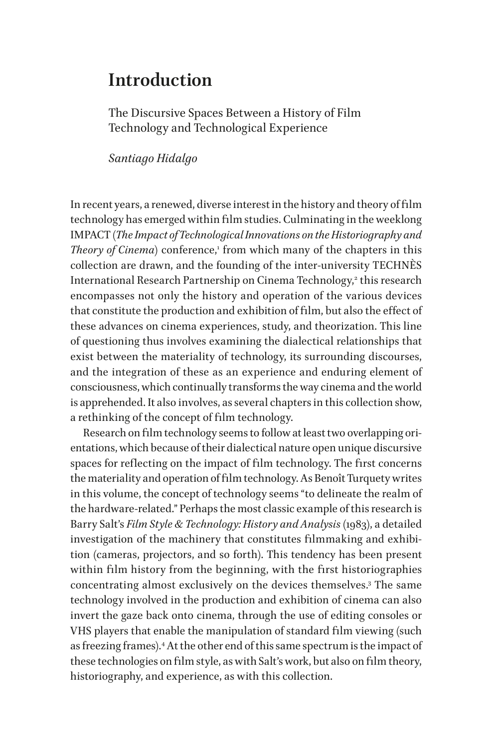## <span id="page-12-0"></span>**Introduction**

The Discursive Spaces Between a History of Film Technology and Technological Experience

*Santiago Hidalgo*

In recent years, a renewed, diverse interest in the history and theory of film technology has emerged within film studies. Culminating in the weeklong IMPACT (*The Impact of Technological Innovations on the Historiography and Theory of Cinema*) conference,<sup>[1](#page-25-0)</sup> from which many of the chapters in this collection are drawn, and the founding of the inter-university TECHNÈS International Research Partnership on Cinema Technology, $\widetilde{\ }$  this research encompasses not only the history and operation of the various devices that constitute the production and exhibition of film, but also the effect of these advances on cinema experiences, study, and theorization. This line of questioning thus involves examining the dialectical relationships that exist between the materiality of technology, its surrounding discourses, and the integration of these as an experience and enduring element of consciousness, which continually transforms the way cinema and the world is apprehended. It also involves, as several chapters in this collection show, a rethinking of the concept of film technology.

Research on film technology seems to follow at least two overlapping orientations, which because of their dialectical nature open unique discursive spaces for reflecting on the impact of film technology. The first concerns the materiality and operation of film technology. As Benoît Turquety writes in this volume, the concept of technology seems "to delineate the realm of the hardware-related." Perhaps the most classic example of this research is Barry Salt's *Film Style & Technology: History and Analysis* (1983), a detailed investigation of the machinery that constitutes filmmaking and exhibition (cameras, projectors, and so forth). This tendency has been present within film history from the beginning, with the first historiographies concentrating almost exclusively on the devices themselves.[3](#page-25-2) The same technology involved in the production and exhibition of cinema can also invert the gaze back onto cinema, through the use of editing consoles or VHS players that enable the manipulation of standard film viewing (such as freezing frames)[.4](#page-26-0) At the other end of this same spectrum is the impact of these technologies on film style, as with Salt's work, but also on film theory, historiography, and experience, as with this collection.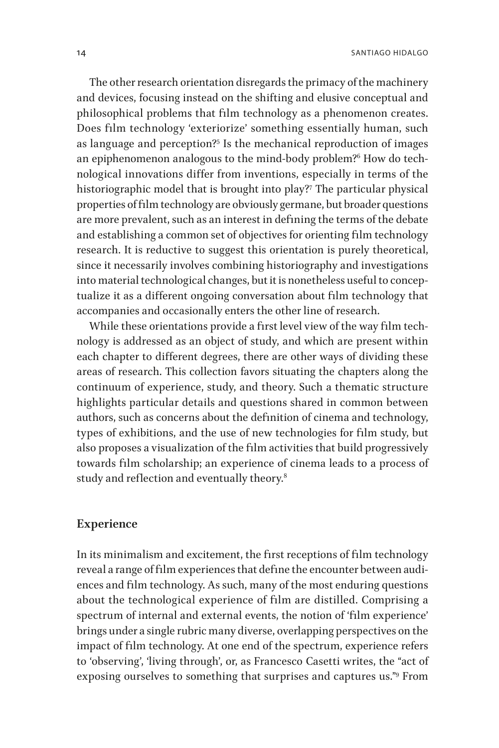The other research orientation disregards the primacy of the machinery and devices, focusing instead on the shifting and elusive conceptual and philosophical problems that film technology as a phenomenon creates. Does film technology 'exteriorize' something essentially human, such as language and perception[?5](#page-26-1) Is the mechanical reproduction of images an epiphenomenon analogous to the mind-body problem?[6](#page-26-2) How do technological innovations differ from inventions, especially in terms of the historiographic model that is brought into play[?7](#page-26-3) The particular physical properties of film technology are obviously germane, but broader questions are more prevalent, such as an interest in defining the terms of the debate and establishing a common set of objectives for orienting film technology research. It is reductive to suggest this orientation is purely theoretical, since it necessarily involves combining historiography and investigations into material technological changes, but it is nonetheless useful to conceptualize it as a different ongoing conversation about film technology that accompanies and occasionally enters the other line of research.

While these orientations provide a first level view of the way film technology is addressed as an object of study, and which are present within each chapter to different degrees, there are other ways of dividing these areas of research. This collection favors situating the chapters along the continuum of experience, study, and theory. Such a thematic structure highlights particular details and questions shared in common between authors, such as concerns about the definition of cinema and technology, types of exhibitions, and the use of new technologies for film study, but also proposes a visualization of the film activities that build progressively towards film scholarship; an experience of cinema leads to a process of study and reflection and eventually theory.<sup>[8](#page-26-4)</sup>

#### **Experience**

In its minimalism and excitement, the first receptions of film technology reveal a range of film experiences that define the encounter between audiences and film technology. As such, many of the most enduring questions about the technological experience of film are distilled. Comprising a spectrum of internal and external events, the notion of 'film experience' brings under a single rubric many diverse, overlapping perspectives on the impact of film technology. At one end of the spectrum, experience refers to 'observing', 'living through', or, as Francesco Casetti writes, the "act of exposing ourselves to something that surprises and captures us.["9](#page-26-5) From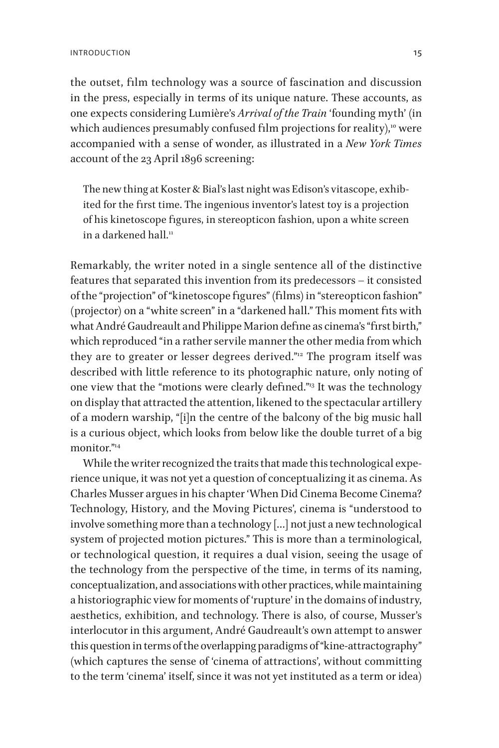the outset, film technology was a source of fascination and discussion in the press, especially in terms of its unique nature. These accounts, as one expects considering Lumière's *Arrival of the Train* 'founding myth' (in which audiences presumably confused film projections for reality), $10$  were accompanied with a sense of wonder, as illustrated in a *New York Times* account of the 23 April 1896 screening:

The new thing at Koster & Bial's last night was Edison's vitascope, exhibited for the first time. The ingenious inventor's latest toy is a projection of his kinetoscope figures, in stereopticon fashion, upon a white screen in a darkened hall  $\overline{1}$ 

Remarkably, the writer noted in a single sentence all of the distinctive features that separated this invention from its predecessors – it consisted of the "projection" of "kinetoscope figures" (films) in "stereopticon fashion" (projector) on a "white screen" in a "darkened hall." This moment fits with what André Gaudreault and Philippe Marion define as cinema's "first birth," which reproduced "in a rather servile manner the other media from which they are to greater or lesser degrees derived."<sup>12</sup> The program itself was described with little reference to its photographic nature, only noting of one view that the "motions were clearly defined.["13](#page-26-9) It was the technology on display that attracted the attention, likened to the spectacular artillery of a modern warship, "[i]n the centre of the balcony of the big music hall is a curious object, which looks from below like the double turret of a big monitor $\frac{m_{14}}{m_{14}}$  $\frac{m_{14}}{m_{14}}$  $\frac{m_{14}}{m_{14}}$ 

While the writer recognized the traits that made this technological experience unique, it was not yet a question of conceptualizing it as cinema. As Charles Musser argues in his chapter 'When Did Cinema Become Cinema? Technology, History, and the Moving Pictures', cinema is "understood to involve something more than a technology […] not just a new technological system of projected motion pictures." This is more than a terminological, or technological question, it requires a dual vision, seeing the usage of the technology from the perspective of the time, in terms of its naming, conceptualization, and associations with other practices, while maintaining a historiographic view for moments of 'rupture' in the domains of industry, aesthetics, exhibition, and technology. There is also, of course, Musser's interlocutor in this argument, André Gaudreault's own attempt to answer this question in terms of the overlapping paradigms of "kine-attractography" (which captures the sense of 'cinema of attractions', without committing to the term 'cinema' itself, since it was not yet instituted as a term or idea)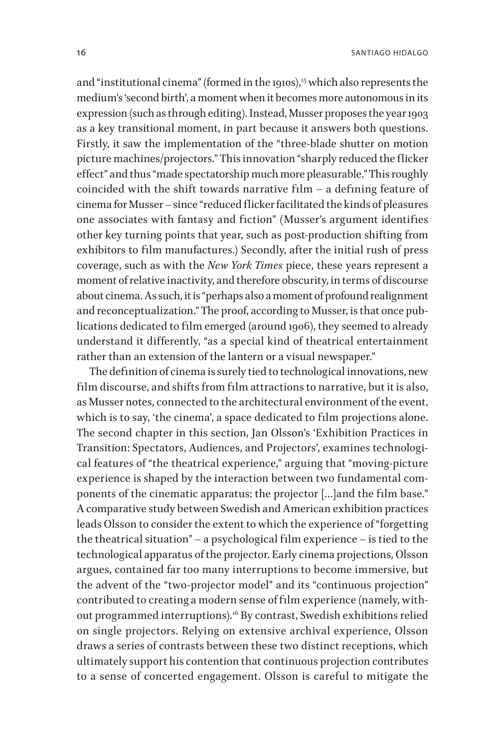and "institutional cinema" (formed in the 1910s),<sup>15</sup> which also represents the medium's 'second birth', a moment when it becomes more autonomous in its expression (such as through editing). Instead, Musser proposes the year 1903 as a key transitional moment, in part because it answers both questions. Firstly, it saw the implementation of the "three-blade shutter on motion picture machines/projectors." This innovation "sharply reduced the flicker effect" and thus "made spectatorship much more pleasurable." This roughly coincided with the shift towards narrative film – a defining feature of cinema for Musser – since "reduced flicker facilitated the kinds of pleasures one associates with fantasy and fiction" (Musser's argument identifies other key turning points that year, such as post-production shifting from exhibitors to film manufactures.) Secondly, after the initial rush of press coverage, such as with the *New York Times* piece, these years represent a moment of relative inactivity, and therefore obscurity, in terms of discourse about cinema. As such, it is "perhaps also a moment of profound realignment and reconceptualization." The proof, according to Musser, is that once publications dedicated to film emerged (around 1906), they seemed to already understand it differently, "as a special kind of theatrical entertainment rather than an extension of the lantern or a visual newspaper."

The definition of cinema is surely tied to technological innovations, new film discourse, and shifts from film attractions to narrative, but it is also, as Musser notes, connected to the architectural environment of the event, which is to say, 'the cinema', a space dedicated to film projections alone. The second chapter in this section, Jan Olsson's 'Exhibition Practices in Transition: Spectators, Audiences, and Projectors', examines technological features of "the theatrical experience," arguing that "moving-picture experience is shaped by the interaction between two fundamental components of the cinematic apparatus: the projector […]and the film base." A comparative study between Swedish and American exhibition practices leads Olsson to consider the extent to which the experience of "forgetting the theatrical situation" – a psychological film experience – is tied to the technological apparatus of the projector. Early cinema projections, Olsson argues, contained far too many interruptions to become immersive, but the advent of the "two-projector model" and its "continuous projection" contributed to creating a modern sense of film experience (namely, without programmed interruptions).<sup>16</sup> By contrast, Swedish exhibitions relied on single projectors. Relying on extensive archival experience, Olsson draws a series of contrasts between these two distinct receptions, which ultimately support his contention that continuous projection contributes to a sense of concerted engagement. Olsson is careful to mitigate the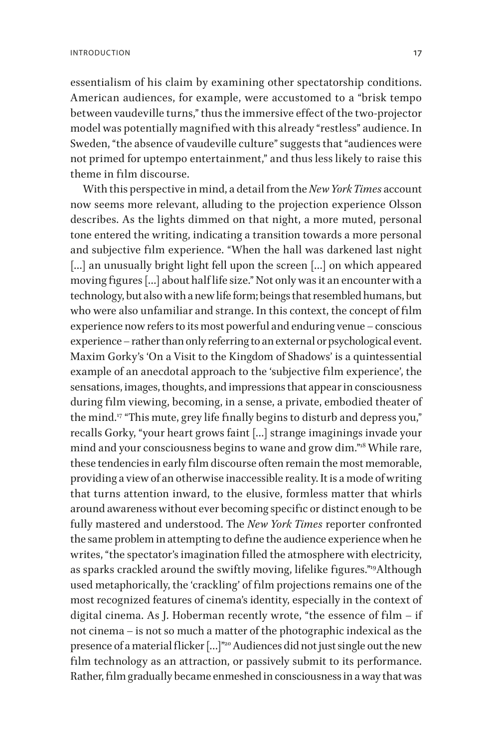essentialism of his claim by examining other spectatorship conditions. American audiences, for example, were accustomed to a "brisk tempo between vaudeville turns," thus the immersive effect of the two-projector model was potentially magnified with this already "restless" audience. In Sweden, "the absence of vaudeville culture" suggests that "audiences were not primed for uptempo entertainment," and thus less likely to raise this theme in film discourse.

With this perspective in mind, a detail from the *New York Times* account now seems more relevant, alluding to the projection experience Olsson describes. As the lights dimmed on that night, a more muted, personal tone entered the writing, indicating a transition towards a more personal and subjective film experience. "When the hall was darkened last night [...] an unusually bright light fell upon the screen [...] on which appeared moving figures […] about half life size." Not only was it an encounter with a technology, but also with a new life form; beings that resembled humans, but who were also unfamiliar and strange. In this context, the concept of film experience now refers to its most powerful and enduring venue – conscious experience – rather than only referring to an external or psychological event. Maxim Gorky's 'On a Visit to the Kingdom of Shadows' is a quintessential example of an anecdotal approach to the 'subjective film experience', the sensations, images, thoughts, and impressions that appear in consciousness during film viewing, becoming, in a sense, a private, embodied theater of the mind.<sup>[17](#page-26-13)</sup> "This mute, grey life finally begins to disturb and depress you," recalls Gorky, "your heart grows faint […] strange imaginings invade your mind and your consciousness begins to wane and grow dim."[18](#page-26-14) While rare, these tendencies in early film discourse often remain the most memorable, providing a view of an otherwise inaccessible reality. It is a mode of writing that turns attention inward, to the elusive, formless matter that whirls around awareness without ever becoming specific or distinct enough to be fully mastered and understood. The *New York Times* reporter confronted the same problem in attempting to define the audience experience when he writes, "the spectator's imagination filled the atmosphere with electricity, as sparks crackled around the swiftly moving, lifelike figures."[19A](#page-26-15)lthough used metaphorically, the 'crackling' of film projections remains one of the most recognized features of cinema's identity, especially in the context of digital cinema. As J. Hoberman recently wrote, "the essence of film – if not cinema – is not so much a matter of the photographic indexical as the presence of a material flicker [...]"<sup>20</sup> Audiences did not just single out the new film technology as an attraction, or passively submit to its performance. Rather, film gradually became enmeshed in consciousness in a way that was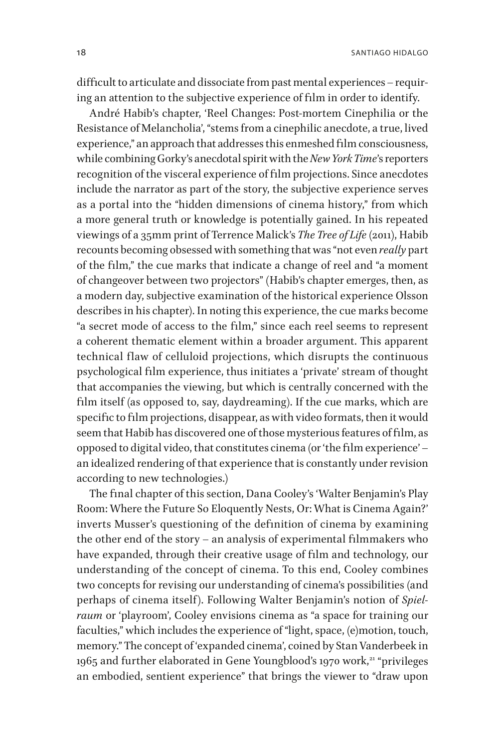difficult to articulate and dissociate from past mental experiences – requiring an attention to the subjective experience of film in order to identify.

André Habib's chapter, 'Reel Changes: Post-mortem Cinephilia or the Resistance of Melancholia', "stems from a cinephilic anecdote, a true, lived experience," an approach that addresses this enmeshed film consciousness, while combining Gorky's anecdotal spirit with the *New York Time*'s reporters recognition of the visceral experience of film projections. Since anecdotes include the narrator as part of the story, the subjective experience serves as a portal into the "hidden dimensions of cinema history," from which a more general truth or knowledge is potentially gained. In his repeated viewings of a 35mm print of Terrence Malick's *The Tree of Life* (2011), Habib recounts becoming obsessed with something that was "not even *really* part of the film," the cue marks that indicate a change of reel and "a moment of changeover between two projectors" (Habib's chapter emerges, then, as a modern day, subjective examination of the historical experience Olsson describes in his chapter). In noting this experience, the cue marks become "a secret mode of access to the film," since each reel seems to represent a coherent thematic element within a broader argument. This apparent technical flaw of celluloid projections, which disrupts the continuous psychological film experience, thus initiates a 'private' stream of thought that accompanies the viewing, but which is centrally concerned with the film itself (as opposed to, say, daydreaming). If the cue marks, which are specific to film projections, disappear, as with video formats, then it would seem that Habib has discovered one of those mysterious features of film, as opposed to digital video, that constitutes cinema (or 'the film experience' – an idealized rendering of that experience that is constantly under revision according to new technologies.)

The final chapter of this section, Dana Cooley's 'Walter Benjamin's Play Room: Where the Future So Eloquently Nests, Or: What is Cinema Again?' inverts Musser's questioning of the definition of cinema by examining the other end of the story – an analysis of experimental filmmakers who have expanded, through their creative usage of film and technology, our understanding of the concept of cinema. To this end, Cooley combines two concepts for revising our understanding of cinema's possibilities (and perhaps of cinema itself). Following Walter Benjamin's notion of *Spielraum* or 'playroom', Cooley envisions cinema as "a space for training our faculties," which includes the experience of "light, space, (e)motion, touch, memory." The concept of 'expanded cinema', coined by Stan Vanderbeek in 1965 and further elaborated in Gene Youngblood's 1970 work,<sup>21</sup> "privileges an embodied, sentient experience" that brings the viewer to "draw upon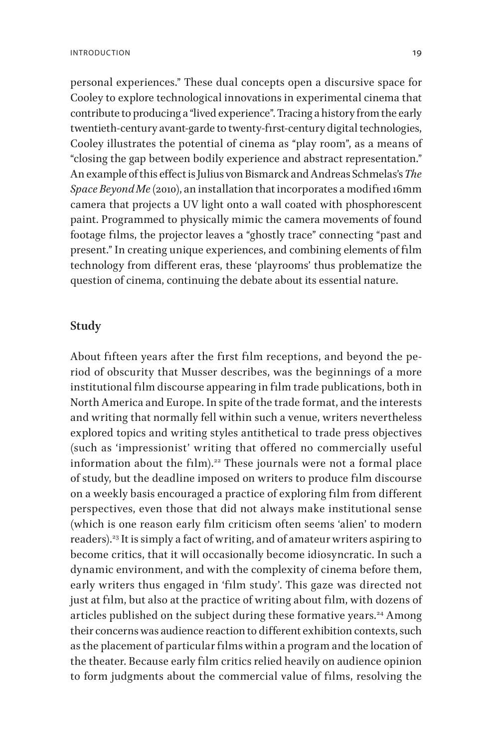personal experiences." These dual concepts open a discursive space for Cooley to explore technological innovations in experimental cinema that contribute to producing a "lived experience". Tracing a history from the early twentieth-century avant-garde to twenty-first-century digital technologies, Cooley illustrates the potential of cinema as "play room", as a means of "closing the gap between bodily experience and abstract representation." An example of this effect is Julius von Bismarck and Andreas Schmelas's *The Space Beyond Me* (2010), an installation that incorporates a modified 16mm camera that projects a UV light onto a wall coated with phosphorescent paint. Programmed to physically mimic the camera movements of found footage films, the projector leaves a "ghostly trace" connecting "past and present." In creating unique experiences, and combining elements of film technology from different eras, these 'playrooms' thus problematize the question of cinema, continuing the debate about its essential nature.

#### **Study**

About fifteen years after the first film receptions, and beyond the period of obscurity that Musser describes, was the beginnings of a more institutional film discourse appearing in film trade publications, both in North America and Europe. In spite of the trade format, and the interests and writing that normally fell within such a venue, writers nevertheless explored topics and writing styles antithetical to trade press objectives (such as 'impressionist' writing that offered no commercially useful information about the film).<sup>22</sup> These journals were not a formal place of study, but the deadline imposed on writers to produce film discourse on a weekly basis encouraged a practice of exploring film from different perspectives, even those that did not always make institutional sense (which is one reason early film criticism often seems 'alien' to modern readers).[23](#page-27-2) It is simply a fact of writing, and of amateur writers aspiring to become critics, that it will occasionally become idiosyncratic. In such a dynamic environment, and with the complexity of cinema before them, early writers thus engaged in 'film study'. This gaze was directed not just at film, but also at the practice of writing about film, with dozens of articles published on the subject during these formative years.<sup>[24](#page-27-3)</sup> Among their concerns was audience reaction to different exhibition contexts, such as the placement of particular films within a program and the location of the theater. Because early film critics relied heavily on audience opinion to form judgments about the commercial value of films, resolving the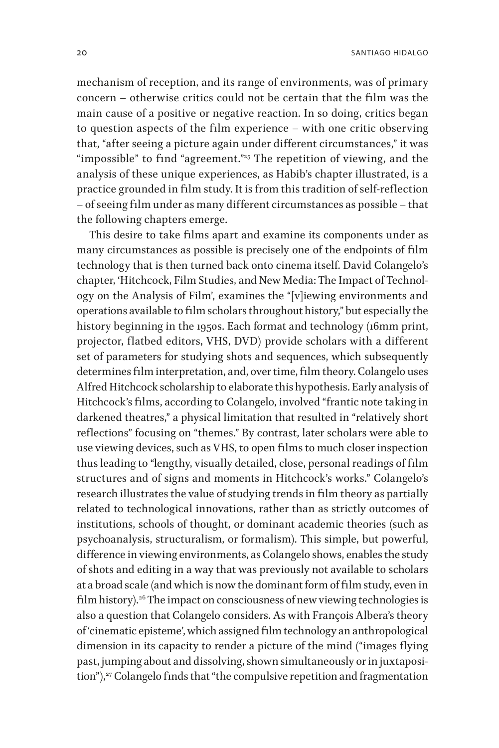20 Santiago Hidalgo

mechanism of reception, and its range of environments, was of primary concern - otherwise critics could not be certain that the film was the main cause of a positive or negative reaction. In so doing, critics began to question aspects of the film experience - with one critic observing that, "after seeing a picture again under different circumstances," it was "impossible" to find "agreement."<sup>25</sup> The repetition of viewing, and the analysis of these unique experiences, as Habib's chapter illustrated, is a practice grounded in film study. It is from this tradition of self-reflection – of seeing film under as many different circumstances as possible – that the following chapters emerge.

This desire to take films apart and examine its components under as many circumstances as possible is precisely one of the endpoints of film technology that is then turned back onto cinema itself. David Colangelo's chapter, 'Hitchcock, Film Studies, and New Media: The Impact of Technology on the Analysis of Film', examines the "[v]iewing environments and operations available to film scholars throughout history," but especially the history beginning in the 1950s. Each format and technology (16mm print, projector, flatbed editors, VHS, DVD) provide scholars with a different set of parameters for studying shots and sequences, which subsequently determines film interpretation, and, over time, film theory. Colangelo uses Alfred Hitchcock scholarship to elaborate this hypothesis. Early analysis of Hitchcock's films, according to Colangelo, involved "frantic note taking in darkened theatres," a physical limitation that resulted in "relatively short reflections" focusing on "themes." By contrast, later scholars were able to use viewing devices, such as VHS, to open films to much closer inspection thus leading to "lengthy, visually detailed, close, personal readings of film structures and of signs and moments in Hitchcock's works." Colangelo's research illustrates the value of studying trends in film theory as partially related to technological innovations, rather than as strictly outcomes of institutions, schools of thought, or dominant academic theories (such as psychoanalysis, structuralism, or formalism). This simple, but powerful, difference in viewing environments, as Colangelo shows, enables the study of shots and editing in a way that was previously not available to scholars at a broad scale (and which is now the dominant form of film study, even in film history).<sup>26</sup> The impact on consciousness of new viewing technologies is also a question that Colangelo considers. As with François Albera's theory of 'cinematic episteme', which assigned film technology an anthropological dimension in its capacity to render a picture of the mind ("images flying past, jumping about and dissolving, shown simultaneously or in juxtaposi-tion"),<sup>[27](#page-27-6)</sup> Colangelo finds that "the compulsive repetition and fragmentation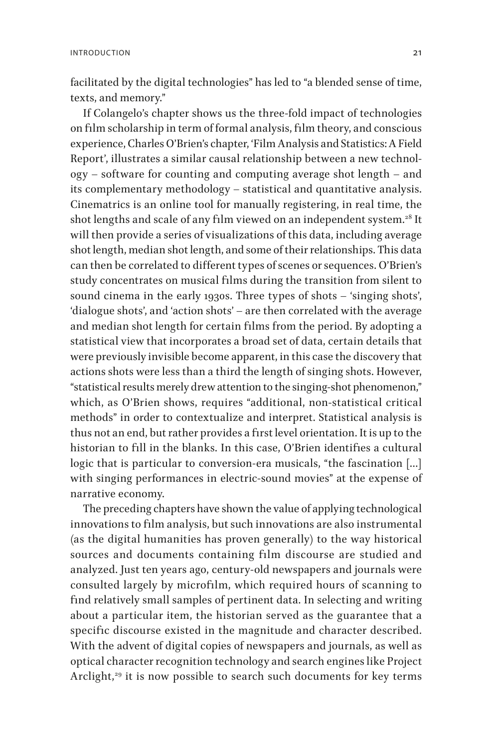facilitated by the digital technologies" has led to "a blended sense of time, texts, and memory."

If Colangelo's chapter shows us the three-fold impact of technologies on film scholarship in term of formal analysis, film theory, and conscious experience, Charles O'Brien's chapter, 'Film Analysis and Statistics: A Field Report', illustrates a similar causal relationship between a new technology – software for counting and computing average shot length – and its complementary methodology – statistical and quantitative analysis. Cinematrics is an online tool for manually registering, in real time, the shot lengths and scale of any film viewed on an independent system.<sup>28</sup> It will then provide a series of visualizations of this data, including average shot length, median shot length, and some of their relationships. This data can then be correlated to different types of scenes or sequences. O'Brien's study concentrates on musical films during the transition from silent to sound cinema in the early 1930s. Three types of shots – 'singing shots', 'dialogue shots', and 'action shots' – are then correlated with the average and median shot length for certain films from the period. By adopting a statistical view that incorporates a broad set of data, certain details that were previously invisible become apparent, in this case the discovery that actions shots were less than a third the length of singing shots. However, "statistical results merely drew attention to the singing-shot phenomenon," which, as O'Brien shows, requires "additional, non-statistical critical methods" in order to contextualize and interpret. Statistical analysis is thus not an end, but rather provides a first level orientation. It is up to the historian to fill in the blanks. In this case, O'Brien identifies a cultural logic that is particular to conversion-era musicals, "the fascination […] with singing performances in electric-sound movies" at the expense of narrative economy.

The preceding chapters have shown the value of applying technological innovations to film analysis, but such innovations are also instrumental (as the digital humanities has proven generally) to the way historical sources and documents containing film discourse are studied and analyzed. Just ten years ago, century-old newspapers and journals were consulted largely by microfilm, which required hours of scanning to find relatively small samples of pertinent data. In selecting and writing about a particular item, the historian served as the guarantee that a specific discourse existed in the magnitude and character described. With the advent of digital copies of newspapers and journals, as well as optical character recognition technology and search engines like Project Arclight, $29$  it is now possible to search such documents for key terms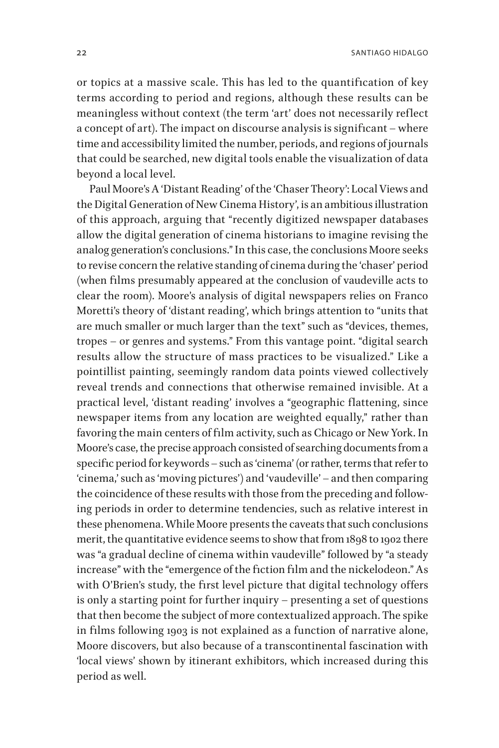or topics at a massive scale. This has led to the quantification of key terms according to period and regions, although these results can be meaningless without context (the term 'art' does not necessarily reflect a concept of art). The impact on discourse analysis is significant – where time and accessibility limited the number, periods, and regions of journals that could be searched, new digital tools enable the visualization of data beyond a local level.

Paul Moore's A 'Distant Reading' of the 'Chaser Theory': Local Views and the Digital Generation of New Cinema History', is an ambitious illustration of this approach, arguing that "recently digitized newspaper databases allow the digital generation of cinema historians to imagine revising the analog generation's conclusions." In this case, the conclusions Moore seeks to revise concern the relative standing of cinema during the 'chaser' period (when films presumably appeared at the conclusion of vaudeville acts to clear the room). Moore's analysis of digital newspapers relies on Franco Moretti's theory of 'distant reading', which brings attention to "units that are much smaller or much larger than the text" such as "devices, themes, tropes – or genres and systems." From this vantage point. "digital search results allow the structure of mass practices to be visualized." Like a pointillist painting, seemingly random data points viewed collectively reveal trends and connections that otherwise remained invisible. At a practical level, 'distant reading' involves a "geographic flattening, since newspaper items from any location are weighted equally," rather than favoring the main centers of film activity, such as Chicago or New York. In Moore's case, the precise approach consisted of searching documents from a specific period for keywords – such as 'cinema' (or rather, terms that refer to 'cinema,' such as 'moving pictures') and 'vaudeville' – and then comparing the coincidence of these results with those from the preceding and following periods in order to determine tendencies, such as relative interest in these phenomena. While Moore presents the caveats that such conclusions merit, the quantitative evidence seems to show that from 1898 to 1902 there was "a gradual decline of cinema within vaudeville" followed by "a steady increase" with the "emergence of the fiction film and the nickelodeon." As with O'Brien's study, the first level picture that digital technology offers is only a starting point for further inquiry – presenting a set of questions that then become the subject of more contextualized approach. The spike in films following 1903 is not explained as a function of narrative alone, Moore discovers, but also because of a transcontinental fascination with 'local views' shown by itinerant exhibitors, which increased during this period as well.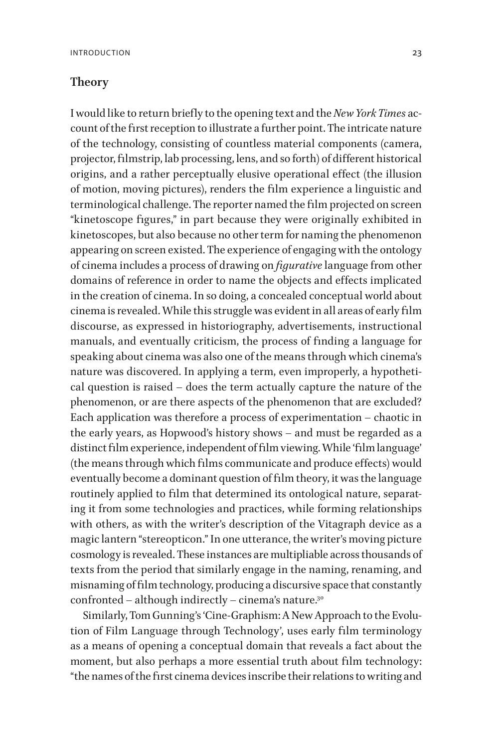#### **Theory**

I would like to return briefly to the opening text and the *New York Times* account of the first reception to illustrate a further point. The intricate nature of the technology, consisting of countless material components (camera, projector, filmstrip, lab processing, lens, and so forth) of different historical origins, and a rather perceptually elusive operational effect (the illusion of motion, moving pictures), renders the film experience a linguistic and terminological challenge. The reporter named the film projected on screen "kinetoscope figures," in part because they were originally exhibited in kinetoscopes, but also because no other term for naming the phenomenon appearing on screen existed. The experience of engaging with the ontology of cinema includes a process of drawing on *figurative* language from other domains of reference in order to name the objects and effects implicated in the creation of cinema. In so doing, a concealed conceptual world about cinema is revealed. While this struggle was evident in all areas of early film discourse, as expressed in historiography, advertisements, instructional manuals, and eventually criticism, the process of finding a language for speaking about cinema was also one of the means through which cinema's nature was discovered. In applying a term, even improperly, a hypothetical question is raised – does the term actually capture the nature of the phenomenon, or are there aspects of the phenomenon that are excluded? Each application was therefore a process of experimentation – chaotic in the early years, as Hopwood's history shows – and must be regarded as a distinct film experience, independent of film viewing. While 'film language' (the means through which films communicate and produce effects) would eventually become a dominant question of film theory, it was the language routinely applied to film that determined its ontological nature, separating it from some technologies and practices, while forming relationships with others, as with the writer's description of the Vitagraph device as a magic lantern "stereopticon." In one utterance, the writer's moving picture cosmology is revealed. These instances are multipliable across thousands of texts from the period that similarly engage in the naming, renaming, and misnaming of film technology, producing a discursive space that constantly confronted – although indirectly – cinema's nature.<sup>30</sup>

Similarly, Tom Gunning's 'Cine-Graphism: A New Approach to the Evolution of Film Language through Technology', uses early film terminology as a means of opening a conceptual domain that reveals a fact about the moment, but also perhaps a more essential truth about film technology: "the names of the first cinema devices inscribe their relations to writing and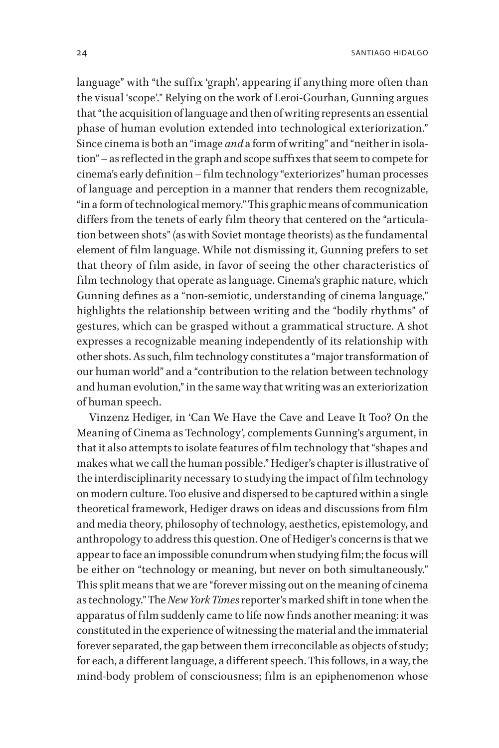language" with "the suffix 'graph', appearing if anything more often than the visual 'scope'." Relying on the work of Leroi-Gourhan, Gunning argues that "the acquisition of language and then of writing represents an essential phase of human evolution extended into technological exteriorization." Since cinema is both an "image *and* a form of writing" and "neither in isolation" – as reflected in the graph and scope suffixes that seem to compete for cinema's early definition – film technology "exteriorizes" human processes of language and perception in a manner that renders them recognizable, "in a form of technological memory." This graphic means of communication differs from the tenets of early film theory that centered on the "articulation between shots" (as with Soviet montage theorists) as the fundamental element of film language. While not dismissing it, Gunning prefers to set that theory of film aside, in favor of seeing the other characteristics of film technology that operate as language. Cinema's graphic nature, which Gunning defines as a "non-semiotic, understanding of cinema language," highlights the relationship between writing and the "bodily rhythms" of gestures, which can be grasped without a grammatical structure. A shot expresses a recognizable meaning independently of its relationship with other shots. As such, film technology constitutes a "major transformation of our human world" and a "contribution to the relation between technology and human evolution," in the same way that writing was an exteriorization of human speech.

Vinzenz Hediger, in 'Can We Have the Cave and Leave It Too? On the Meaning of Cinema as Technology', complements Gunning's argument, in that it also attempts to isolate features of film technology that "shapes and makes what we call the human possible." Hediger's chapter is illustrative of the interdisciplinarity necessary to studying the impact of film technology on modern culture. Too elusive and dispersed to be captured within a single theoretical framework, Hediger draws on ideas and discussions from film and media theory, philosophy of technology, aesthetics, epistemology, and anthropology to address this question. One of Hediger's concerns is that we appear to face an impossible conundrum when studying film; the focus will be either on "technology or meaning, but never on both simultaneously." This split means that we are "forever missing out on the meaning of cinema as technology." The *New York Times* reporter's marked shift in tone when the apparatus of film suddenly came to life now finds another meaning: it was constituted in the experience of witnessing the material and the immaterial forever separated, the gap between them irreconcilable as objects of study; for each, a different language, a different speech. This follows, in a way, the mind-body problem of consciousness; film is an epiphenomenon whose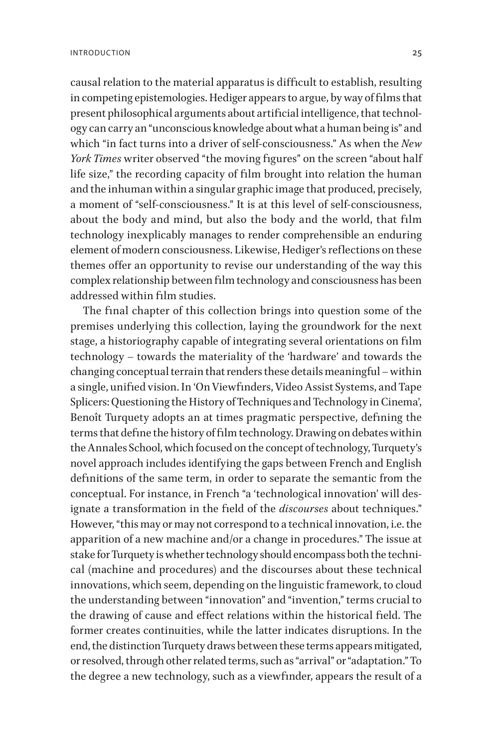causal relation to the material apparatus is difficult to establish, resulting in competing epistemologies. Hediger appears to argue, by way of films that present philosophical arguments about artificial intelligence, that technology can carry an "unconscious knowledge about what a human being is" and which "in fact turns into a driver of self-consciousness." As when the *New York Times* writer observed "the moving figures" on the screen "about half life size," the recording capacity of film brought into relation the human and the inhuman within a singular graphic image that produced, precisely, a moment of "self-consciousness." It is at this level of self-consciousness, about the body and mind, but also the body and the world, that film technology inexplicably manages to render comprehensible an enduring element of modern consciousness. Likewise, Hediger's reflections on these themes offer an opportunity to revise our understanding of the way this complex relationship between film technology and consciousness has been addressed within film studies.

The final chapter of this collection brings into question some of the premises underlying this collection, laying the groundwork for the next stage, a historiography capable of integrating several orientations on film technology – towards the materiality of the 'hardware' and towards the changing conceptual terrain that renders these details meaningful – within a single, unified vision. In 'On Viewfinders, Video Assist Systems, and Tape Splicers: Questioning the History of Techniques and Technology in Cinema', Benoît Turquety adopts an at times pragmatic perspective, defining the terms that define the history of film technology. Drawing on debates within the Annales School, which focused on the concept of technology, Turquety's novel approach includes identifying the gaps between French and English definitions of the same term, in order to separate the semantic from the conceptual. For instance, in French "a 'technological innovation' will designate a transformation in the field of the *discourses* about techniques." However, "this may or may not correspond to a technical innovation, i.e. the apparition of a new machine and/or a change in procedures." The issue at stake for Turquety is whether technology should encompass both the technical (machine and procedures) and the discourses about these technical innovations, which seem, depending on the linguistic framework, to cloud the understanding between "innovation" and "invention," terms crucial to the drawing of cause and effect relations within the historical field. The former creates continuities, while the latter indicates disruptions. In the end, the distinction Turquety draws between these terms appears mitigated, or resolved, through other related terms, such as "arrival" or "adaptation." To the degree a new technology, such as a viewfinder, appears the result of a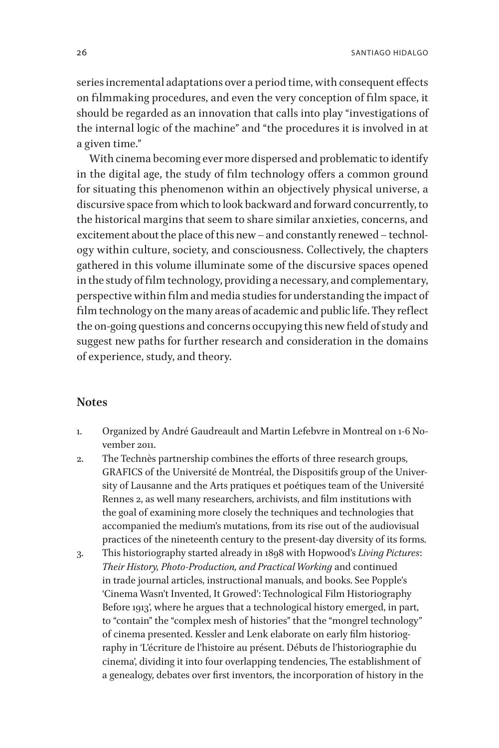series incremental adaptations over a period time, with consequent effects on filmmaking procedures, and even the very conception of film space, it should be regarded as an innovation that calls into play "investigations of the internal logic of the machine" and "the procedures it is involved in at a given time."

With cinema becoming ever more dispersed and problematic to identify in the digital age, the study of film technology offers a common ground for situating this phenomenon within an objectively physical universe, a discursive space from which to look backward and forward concurrently, to the historical margins that seem to share similar anxieties, concerns, and excitement about the place of this new – and constantly renewed – technology within culture, society, and consciousness. Collectively, the chapters gathered in this volume illuminate some of the discursive spaces opened in the study of film technology, providing a necessary, and complementary, perspective within film and media studies for understanding the impact of film technology on the many areas of academic and public life. They reflect the on-going questions and concerns occupying this new field of study and suggest new paths for further research and consideration in the domains of experience, study, and theory.

#### **Notes**

- <span id="page-25-0"></span>1. Organized by André Gaudreault and Martin Lefebvre in Montreal on 1-6 November 2011.
- <span id="page-25-1"></span>2. The Technès partnership combines the efforts of three research groups, GRAFICS of the Université de Montréal, the Dispositifs group of the University of Lausanne and the Arts pratiques et poétiques team of the Université Rennes 2, as well many researchers, archivists, and film institutions with the goal of examining more closely the techniques and technologies that accompanied the medium's mutations, from its rise out of the audiovisual practices of the nineteenth century to the present-day diversity of its forms.
- <span id="page-25-2"></span>3. This historiography started already in 1898 with Hopwood's *Living Pictures*: *Their History, Photo-Production, and Practical Working* and continued in trade journal articles, instructional manuals, and books. See Popple's 'Cinema Wasn't Invented, It Growed': Technological Film Historiography Before 1913', where he argues that a technological history emerged, in part, to "contain" the "complex mesh of histories" that the "mongrel technology" of cinema presented. Kessler and Lenk elaborate on early film historiography in 'L'écriture de l'histoire au présent. Débuts de l'historiographie du cinema', dividing it into four overlapping tendencies, The establishment of a genealogy, debates over first inventors, the incorporation of history in the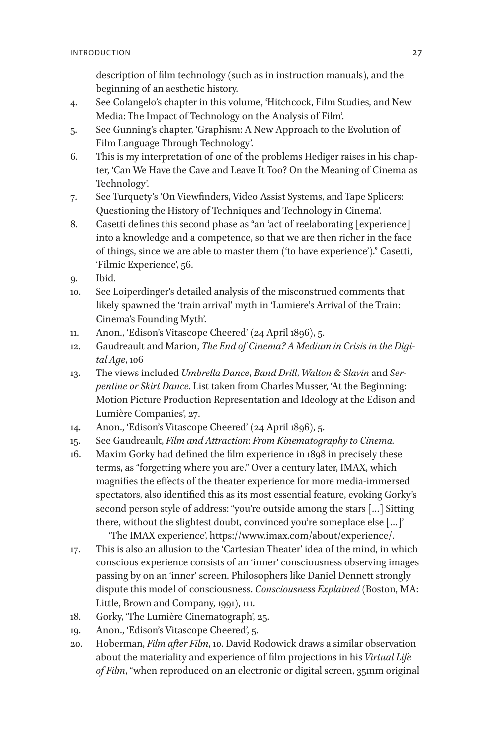<span id="page-26-0"></span>description of film technology (such as in instruction manuals), and the beginning of an aesthetic history.

- 4. See Colangelo's chapter in this volume, 'Hitchcock, Film Studies, and New Media: The Impact of Technology on the Analysis of Film'.
- <span id="page-26-1"></span>5. See Gunning's chapter, 'Graphism: A New Approach to the Evolution of Film Language Through Technology'.
- <span id="page-26-2"></span>6. This is my interpretation of one of the problems Hediger raises in his chapter, 'Can We Have the Cave and Leave It Too? On the Meaning of Cinema as Technology'.
- <span id="page-26-3"></span>7. See Turquety's 'On Viewfinders, Video Assist Systems, and Tape Splicers: Questioning the History of Techniques and Technology in Cinema'.
- <span id="page-26-4"></span>8. Casetti defines this second phase as "an 'act of reelaborating [experience] into a knowledge and a competence, so that we are then richer in the face of things, since we are able to master them ('to have experience')." Casetti, 'Filmic Experience', 56.
- <span id="page-26-5"></span>9. Ibid.
- <span id="page-26-6"></span>10. See Loiperdinger's detailed analysis of the misconstrued comments that likely spawned the 'train arrival' myth in 'Lumiere's Arrival of the Train: Cinema's Founding Myth'.
- <span id="page-26-7"></span>11. Anon., 'Edison's Vitascope Cheered' (24 April 1896), 5.
- <span id="page-26-8"></span>12. Gaudreault and Marion, *The End of Cinema? A Medium in Crisis in the Digital Age*, 106
- <span id="page-26-9"></span>13. The views included *Umbrella Dance*, *Band Drill*, *Walton & Slavin* and *Serpentine or Skirt Dance*. List taken from Charles Musser, 'At the Beginning: Motion Picture Production Representation and Ideology at the Edison and Lumière Companies', 27.
- <span id="page-26-10"></span>14. Anon., 'Edison's Vitascope Cheered' (24 April 1896), 5.
- <span id="page-26-11"></span>15. See Gaudreault, *Film and Attraction*: *From Kinematography to Cinema.*
- <span id="page-26-12"></span>16. Maxim Gorky had defined the film experience in 1898 in precisely these terms, as "forgetting where you are." Over a century later, IMAX, which magnifies the effects of the theater experience for more media-immersed spectators, also identified this as its most essential feature, evoking Gorky's second person style of address: "you're outside among the stars […] Sitting there, without the slightest doubt, convinced you're someplace else […]' 'The IMAX experience', https://www.imax.com/about/experience/.
- <span id="page-26-13"></span>17. This is also an allusion to the 'Cartesian Theater' idea of the mind, in which conscious experience consists of an 'inner' consciousness observing images passing by on an 'inner' screen. Philosophers like Daniel Dennett strongly dispute this model of consciousness. *Consciousness Explained* (Boston, MA: Little, Brown and Company, 1991), 111.
- <span id="page-26-14"></span>18. Gorky, 'The Lumière Cinematograph', 25.
- <span id="page-26-15"></span>19. Anon., 'Edison's Vitascope Cheered', 5.
- <span id="page-26-16"></span>20. Hoberman, *Film after Film*, 10. David Rodowick draws a similar observation about the materiality and experience of film projections in his *Virtual Life of Film*, "when reproduced on an electronic or digital screen, 35mm original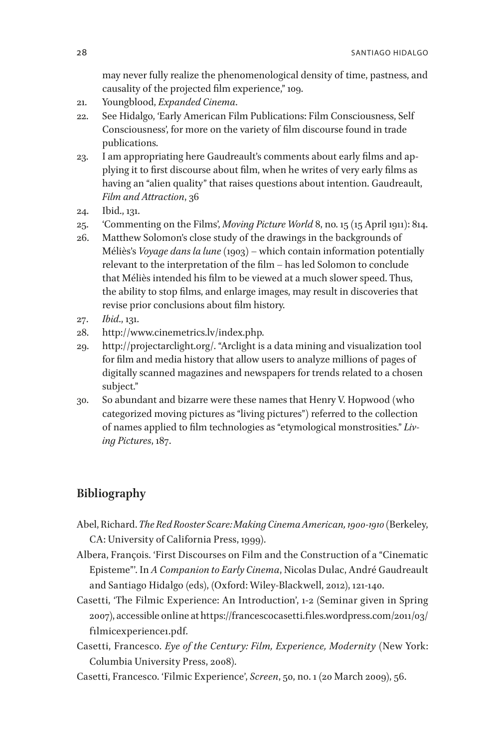<span id="page-27-1"></span><span id="page-27-0"></span>may never fully realize the phenomenological density of time, pastness, and causality of the projected film experience," 109.

- 21. Youngblood, *Expanded Cinema*.
- 22. See Hidalgo, 'Early American Film Publications: Film Consciousness, Self Consciousness', for more on the variety of film discourse found in trade publications.
- <span id="page-27-2"></span>23. I am appropriating here Gaudreault's comments about early films and applying it to first discourse about film, when he writes of very early films as having an "alien quality" that raises questions about intention. Gaudreault, *Film and Attraction*, 36
- <span id="page-27-3"></span>24. Ibid., 131.
- <span id="page-27-4"></span>25. 'Commenting on the Films', *Moving Picture World* 8, no. 15 (15 April 1911): 814.
- <span id="page-27-5"></span>26. Matthew Solomon's close study of the drawings in the backgrounds of Méliès's *Voyage dans la lune* (1903) – which contain information potentially relevant to the interpretation of the film – has led Solomon to conclude that Méliès intended his film to be viewed at a much slower speed. Thus, the ability to stop films, and enlarge images, may result in discoveries that revise prior conclusions about film history.
- <span id="page-27-6"></span>27. *Ibid*., 131.
- <span id="page-27-7"></span>28. http://www.cinemetrics.lv/index.php.
- <span id="page-27-8"></span>29. http://projectarclight.org/. "Arclight is a data mining and visualization tool for film and media history that allow users to analyze millions of pages of digitally scanned magazines and newspapers for trends related to a chosen subject."
- <span id="page-27-9"></span>30. So abundant and bizarre were these names that Henry V. Hopwood (who categorized moving pictures as "living pictures") referred to the collection of names applied to film technologies as "etymological monstrosities." *Living Pictures*, 187.

## **Bibliography**

- Abel, Richard. *The Red Rooster Scare: Making Cinema American, 1900-1910* (Berkeley, CA: University of California Press, 1999).
- Albera, François. 'First Discourses on Film and the Construction of a "Cinematic Episteme"'. In *A Companion to Early Cinema*, Nicolas Dulac, André Gaudreault and Santiago Hidalgo (eds), (Oxford: Wiley-Blackwell, 2012), 121-140.
- Casetti, 'The Filmic Experience: An Introduction', 1-2 (Seminar given in Spring 2007), accessible online at https://francescocasetti.files.wordpress.com/2011/03/ filmicexperience1.pdf.
- Casetti, Francesco. *Eye of the Century: Film, Experience, Modernity* (New York: Columbia University Press, 2008).
- Casetti, Francesco. 'Filmic Experience', *Screen*, 50, no. 1 (20 March 2009), 56.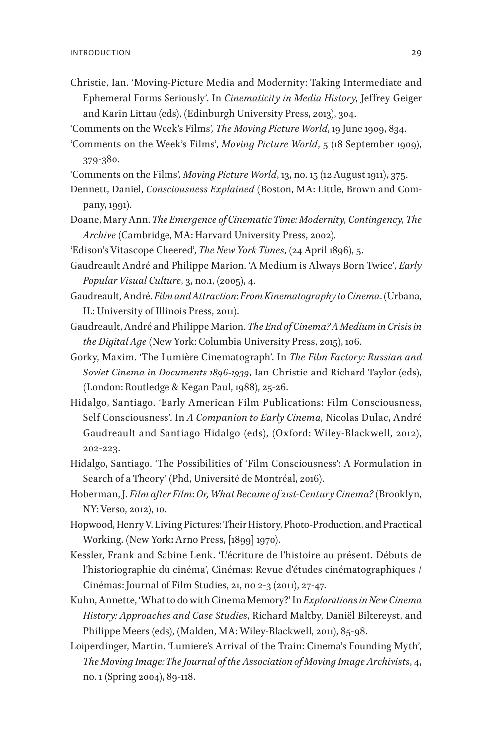- Christie, Ian. 'Moving-Picture Media and Modernity: Taking Intermediate and Ephemeral Forms Seriously'. In *Cinematicity in Media History*, Jeffrey Geiger and Karin Littau (eds), (Edinburgh University Press, 2013), 304.
- 'Comments on the Week's Films'*, The Moving Picture World*, 19 June 1909, 834.
- 'Comments on the Week's Films', *Moving Picture World*, 5 (18 September 1909), 379-380.
- 'Comments on the Films'*, Moving Picture World*, 13, no. 15 (12 August 1911), 375.
- Dennett, Daniel, *Consciousness Explained* (Boston, MA: Little, Brown and Company, 1991).
- Doane, Mary Ann. *The Emergence of Cinematic Time: Modernity, Contingency, The Archive* (Cambridge, MA: Harvard University Press, 2002).
- 'Edison's Vitascope Cheered', *The New York Times*, (24 April 1896), 5.
- Gaudreault André and Philippe Marion. 'A Medium is Always Born Twice', *Early Popular Visual Culture*, 3, no.1, (2005), 4.
- Gaudreault, André. *Film and Attraction*: *From Kinematography to Cinema*.(Urbana, IL: University of Illinois Press, 2011).
- Gaudreault, André and Philippe Marion. *The End of Cinema? A Medium in Crisis in the Digital Age* (New York: Columbia University Press, 2015), 106.
- Gorky, Maxim. 'The Lumière Cinematograph'. In *The Film Factory: Russian and Soviet Cinema in Documents 1896-1939*, Ian Christie and Richard Taylor (eds), (London: Routledge & Kegan Paul, 1988), 25-26.
- Hidalgo, Santiago. 'Early American Film Publications: Film Consciousness, Self Consciousness'. In *A Companion to Early Cinema,* Nicolas Dulac, André Gaudreault and Santiago Hidalgo (eds), (Oxford: Wiley-Blackwell, 2012), 202-223.
- Hidalgo, Santiago. 'The Possibilities of 'Film Consciousness': A Formulation in Search of a Theory' (Phd, Université de Montréal, 2016).
- Hoberman, J. *Film after Film*: *Or, What Became of 21st-Century Cinema?* (Brooklyn, NY: Verso, 2012), 10.
- Hopwood, Henry V. Living Pictures: Their History, Photo-Production, and Practical Working. (New York**:** Arno Press, [1899] 1970).
- Kessler, Frank and Sabine Lenk. 'L'écriture de l'histoire au présent. Débuts de l'historiographie du cinéma', Cinémas: Revue d'études cinématographiques / Cinémas: Journal of Film Studies, 21, no 2-3 (2011), 27-47.
- Kuhn, Annette, 'What to do with Cinema Memory?' In *Explorations in New Cinema History: Approaches and Case Studies*, Richard Maltby, Daniël Biltereyst, and Philippe Meers (eds), (Malden, MA: Wiley-Blackwell, 2011), 85-98.
- Loiperdinger, Martin. 'Lumiere's Arrival of the Train: Cinema's Founding Myth', *The Moving Image: The Journal of the Association of Moving Image Archivists*, 4, no. 1 (Spring 2004), 89-118.